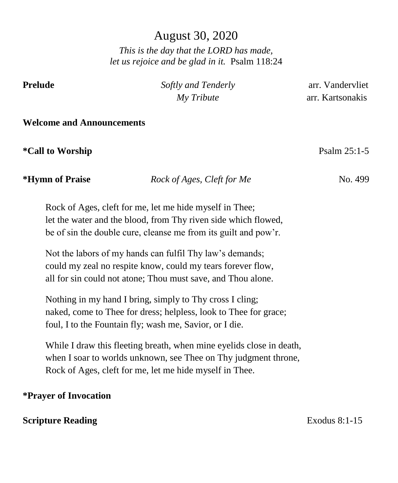# August 30, 2020

*This is the day that the LORD has made, let us rejoice and be glad in it.* Psalm 118:24

**Prelude** *Softly and Tenderly* arr. Vandervliet  *My Tribute* arr. Kartsonakis

#### **Welcome and Announcements**

**\*Call to Worship** Psalm 25:1-5

## *\*Hymn of Praise Rock of Ages, Cleft for Me* **No. 499**

Rock of Ages, cleft for me, let me hide myself in Thee; let the water and the blood, from Thy riven side which flowed, be of sin the double cure, cleanse me from its guilt and pow'r.

Not the labors of my hands can fulfil Thy law's demands; could my zeal no respite know, could my tears forever flow, all for sin could not atone; Thou must save, and Thou alone.

Nothing in my hand I bring, simply to Thy cross I cling; naked, come to Thee for dress; helpless, look to Thee for grace; foul, I to the Fountain fly; wash me, Savior, or I die.

While I draw this fleeting breath, when mine eyelids close in death, when I soar to worlds unknown, see Thee on Thy judgment throne, Rock of Ages, cleft for me, let me hide myself in Thee.

#### **\*Prayer of Invocation**

### **Scripture Reading** Exodus 8:1-15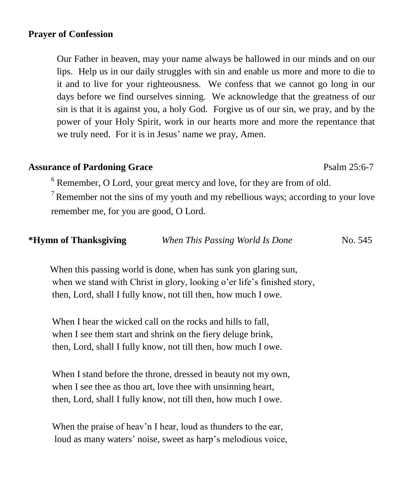#### **Prayer of Confession**

Our Father in heaven, may your name always be hallowed in our minds and on our lips. Help us in our daily struggles with sin and enable us more and more to die to it and to live for your righteousness. We confess that we cannot go long in our days before we find ourselves sinning. We acknowledge that the greatness of our sin is that it is against you, a holy God. Forgive us of our sin, we pray, and by the power of your Holy Spirit, work in our hearts more and more the repentance that we truly need. For it is in Jesus' name we pray, Amen.

#### **Assurance of Pardoning Grace** Psalm 25:6-7

<sup>6</sup> Remember, O Lord, your great mercy and love, for they are from of old.

 $7$  Remember not the sins of my youth and my rebellious ways; according to your love remember me, for you are good, O Lord.

| *Hymn of Thanksgiving | When This Passing World Is Done | No. 545 |
|-----------------------|---------------------------------|---------|
|-----------------------|---------------------------------|---------|

When this passing world is done, when has sunk yon glaring sun, when we stand with Christ in glory, looking o'er life's finished story, then, Lord, shall I fully know, not till then, how much I owe.

When I hear the wicked call on the rocks and hills to fall. when I see them start and shrink on the fiery deluge brink, then, Lord, shall I fully know, not till then, how much I owe.

 When I stand before the throne, dressed in beauty not my own, when I see thee as thou art, love thee with unsinning heart, then, Lord, shall I fully know, not till then, how much I owe.

When the praise of heav'n I hear, loud as thunders to the ear, loud as many waters' noise, sweet as harp's melodious voice,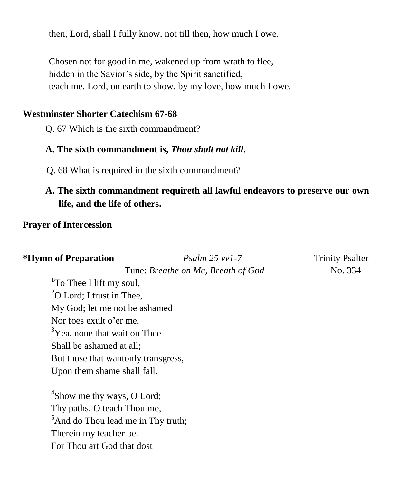then, Lord, shall I fully know, not till then, how much I owe.

 Chosen not for good in me, wakened up from wrath to flee, hidden in the Savior's side, by the Spirit sanctified, teach me, Lord, on earth to show, by my love, how much I owe.

## **Westminster Shorter Catechism 67-68**

Q. 67 Which is the sixth commandment?

## **A. The sixth commandment is,** *Thou shalt not kill***.**

Q. 68 What is required in the sixth commandment?

# **A. The sixth commandment requireth all lawful endeavors to preserve our own life, and the life of others.**

## **Prayer of Intercession**

| <i><b>*Hymn of Preparation</b></i>             | $P_{\text{Salm}}$ 25 vv1-7         | <b>Trinity Psalter</b> |
|------------------------------------------------|------------------------------------|------------------------|
|                                                | Tune: Breathe on Me, Breath of God | No. 334                |
| <sup>1</sup> To Thee I lift my soul,           |                                    |                        |
| ${}^{2}$ O Lord; I trust in Thee,              |                                    |                        |
| My God; let me not be ashamed                  |                                    |                        |
| Nor foes exult o'er me.                        |                                    |                        |
| <sup>3</sup> Yea, none that wait on Thee       |                                    |                        |
| Shall be ashamed at all;                       |                                    |                        |
| But those that wantonly transgress,            |                                    |                        |
| Upon them shame shall fall.                    |                                    |                        |
| <sup>4</sup> Show me thy ways, O Lord;         |                                    |                        |
| Thy paths, O teach Thou me,                    |                                    |                        |
| <sup>5</sup> And do Thou lead me in Thy truth; |                                    |                        |
| Therein my teacher be.                         |                                    |                        |
| For Thou art God that dost                     |                                    |                        |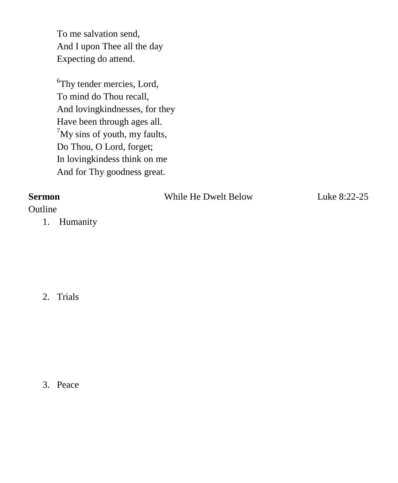To me salvation send, And I upon Thee all the day Expecting do attend.

<sup>6</sup>Thy tender mercies, Lord, To mind do Thou recall, And lovingkindnesses, for they Have been through ages all.  $^7$ My sins of youth, my faults, Do Thou, O Lord, forget; In lovingkindess think on me And for Thy goodness great.

| <b>Sermon</b> |             | While He Dwelt Below | Luke 8:22-25 |
|---------------|-------------|----------------------|--------------|
| Outline       |             |                      |              |
|               | 1. Humanity |                      |              |

2. Trials

3. Peace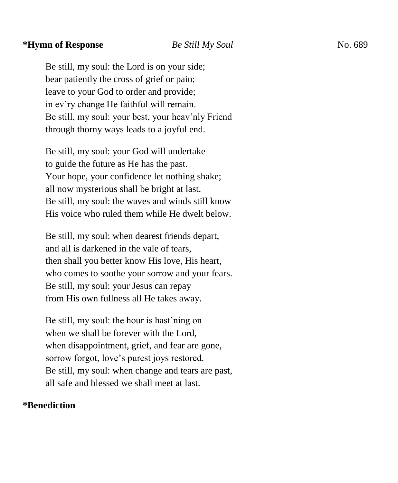#### **\*Hymn of Response** *Be Still My Soul*No. 689

Be still, my soul: the Lord is on your side; bear patiently the cross of grief or pain; leave to your God to order and provide; in ev'ry change He faithful will remain. Be still, my soul: your best, your heav'nly Friend through thorny ways leads to a joyful end.

Be still, my soul: your God will undertake to guide the future as He has the past. Your hope, your confidence let nothing shake; all now mysterious shall be bright at last. Be still, my soul: the waves and winds still know His voice who ruled them while He dwelt below.

Be still, my soul: when dearest friends depart, and all is darkened in the vale of tears, then shall you better know His love, His heart, who comes to soothe your sorrow and your fears. Be still, my soul: your Jesus can repay from His own fullness all He takes away.

Be still, my soul: the hour is hast'ning on when we shall be forever with the Lord, when disappointment, grief, and fear are gone, sorrow forgot, love's purest joys restored. Be still, my soul: when change and tears are past, all safe and blessed we shall meet at last.

#### **\*Benediction**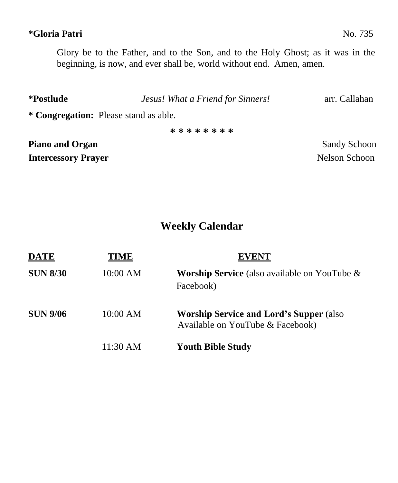## **\*Gloria Patri** No. 735

Glory be to the Father, and to the Son, and to the Holy Ghost; as it was in the beginning, is now, and ever shall be, world without end. Amen, amen.

| *Postlude                             | Jesus! What a Friend for Sinners! | arr. Callahan       |  |
|---------------------------------------|-----------------------------------|---------------------|--|
| * Congregation: Please stand as able. |                                   |                     |  |
|                                       | * * * * * * * *                   |                     |  |
| <b>Piano and Organ</b>                |                                   | <b>Sandy Schoon</b> |  |

**Intercessory Prayer** Nelson Schoon

# **Weekly Calendar**

| <b>DATE</b>     | TIME     | <b>EVENT</b>                                                                        |
|-----------------|----------|-------------------------------------------------------------------------------------|
| <b>SUN 8/30</b> | 10:00 AM | <b>Worship Service</b> (also available on YouTube $\&$<br>Facebook)                 |
| <b>SUN 9/06</b> | 10:00 AM | <b>Worship Service and Lord's Supper (also)</b><br>Available on YouTube & Facebook) |
|                 | 11:30 AM | <b>Youth Bible Study</b>                                                            |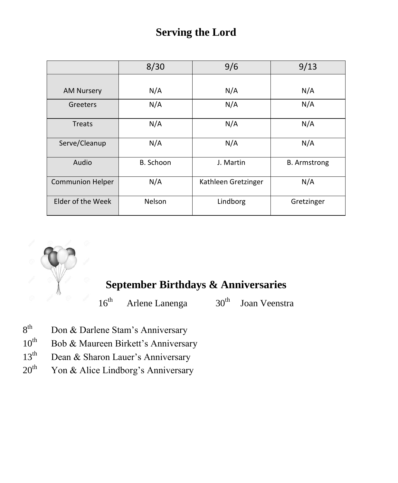# **Serving the Lord**

|                         | 8/30      | 9/6                 | 9/13                |
|-------------------------|-----------|---------------------|---------------------|
|                         |           |                     |                     |
| <b>AM Nursery</b>       | N/A       | N/A                 | N/A                 |
| Greeters                | N/A       | N/A                 | N/A                 |
| <b>Treats</b>           | N/A       | N/A                 | N/A                 |
| Serve/Cleanup           | N/A       | N/A                 | N/A                 |
| Audio                   | B. Schoon | J. Martin           | <b>B.</b> Armstrong |
| <b>Communion Helper</b> | N/A       | Kathleen Gretzinger | N/A                 |
| Elder of the Week       | Nelson    | Lindborg            | Gretzinger          |



# **September Birthdays & Anniversaries**

 $16<sup>th</sup>$  Arlene Lanenga  $30<sup>th</sup>$  Joan Veenstra

- $8^{\text{th}}$ Don & Darlene Stam's Anniversary
- $10^{th}$  Bob & Maureen Birkett's Anniversary
- 13<sup>th</sup> Dean & Sharon Lauer's Anniversary
- $20<sup>th</sup>$  Yon & Alice Lindborg's Anniversary